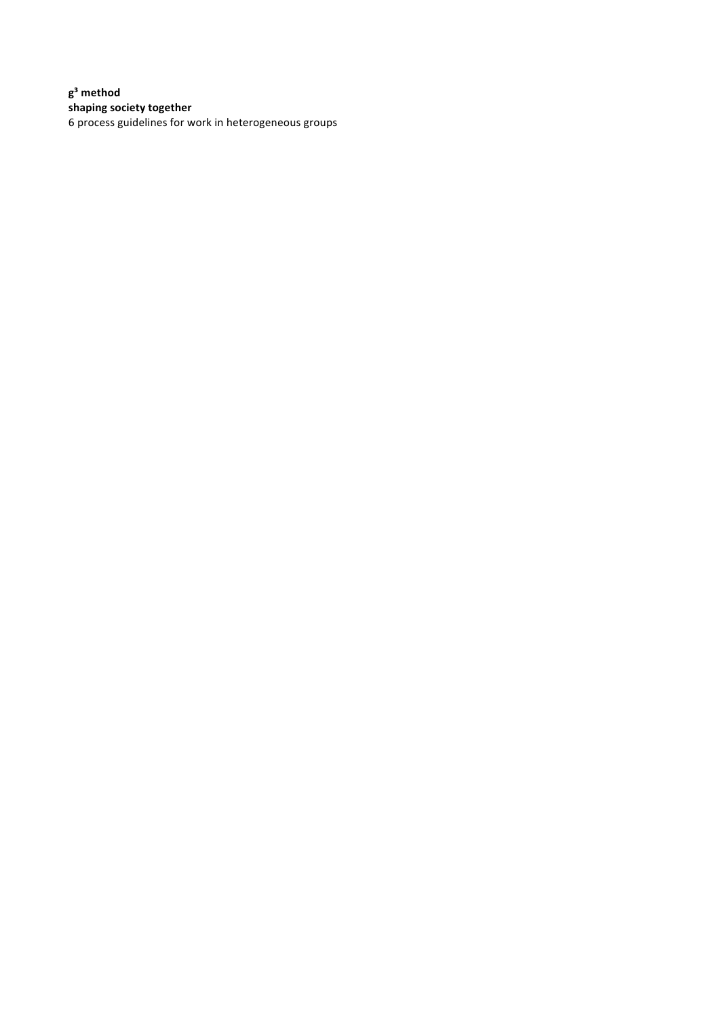**g³ method shaping society together** 6 process guidelines for work in heterogeneous groups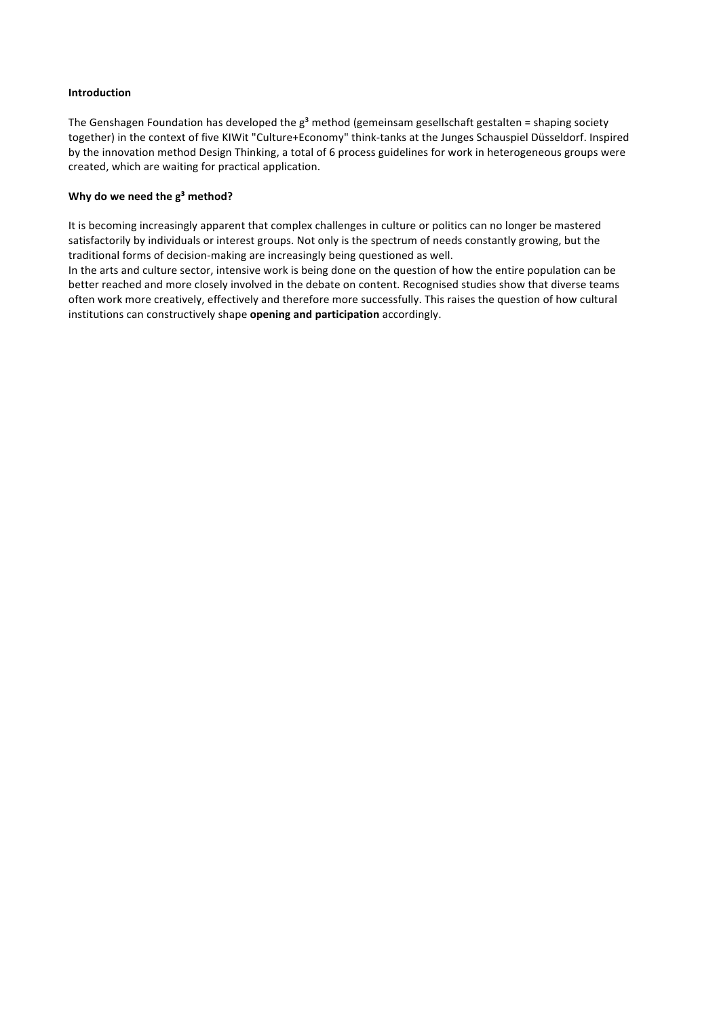#### **Introduction**

The Genshagen Foundation has developed the  $g^3$  method (gemeinsam gesellschaft gestalten = shaping society together) in the context of five KIWit "Culture+Economy" think-tanks at the Junges Schauspiel Düsseldorf. Inspired by the innovation method Design Thinking, a total of 6 process guidelines for work in heterogeneous groups were created, which are waiting for practical application.

#### Why do we need the  $g^3$  method?

It is becoming increasingly apparent that complex challenges in culture or politics can no longer be mastered satisfactorily by individuals or interest groups. Not only is the spectrum of needs constantly growing, but the traditional forms of decision-making are increasingly being questioned as well.

In the arts and culture sector, intensive work is being done on the question of how the entire population can be better reached and more closely involved in the debate on content. Recognised studies show that diverse teams often work more creatively, effectively and therefore more successfully. This raises the question of how cultural institutions can constructively shape **opening and participation** accordingly.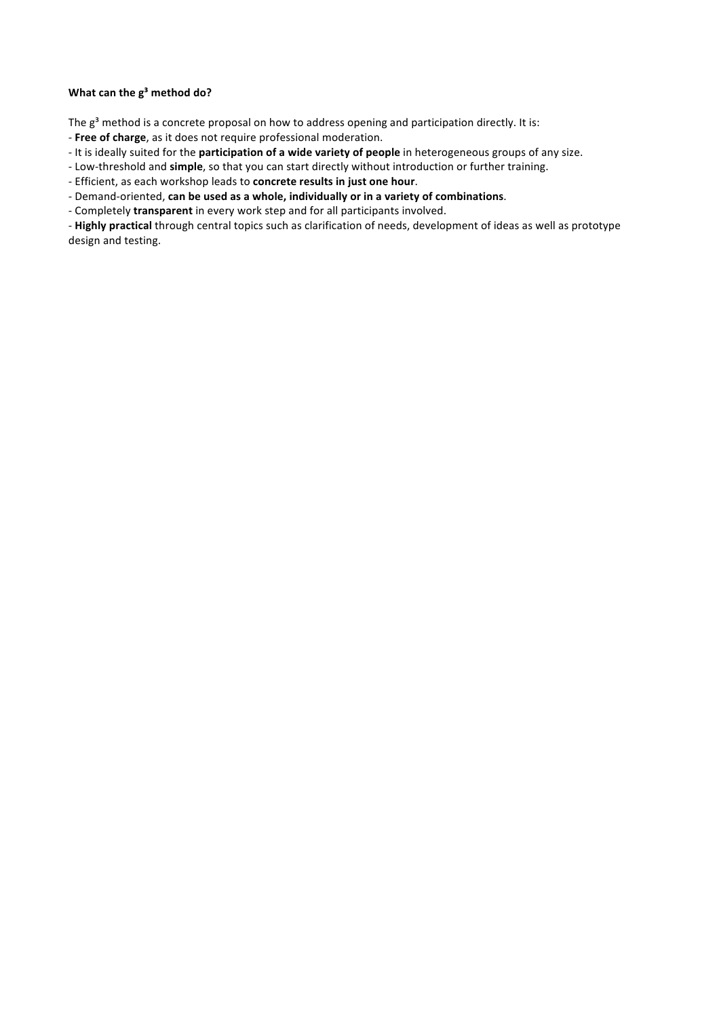## **What can the g<sup>3</sup> method do?**

The  $g^3$  method is a concrete proposal on how to address opening and participation directly. It is:

- Free of charge, as it does not require professional moderation.
- It is ideally suited for the **participation of a wide variety of people** in heterogeneous groups of any size.
- Low-threshold and simple, so that you can start directly without introduction or further training.
- Efficient, as each workshop leads to **concrete results in just one hour**.
- Demand-oriented, can be used as a whole, individually or in a variety of combinations.
- Completely *transparent* in every work step and for all participants involved.

- Highly practical through central topics such as clarification of needs, development of ideas as well as prototype design and testing.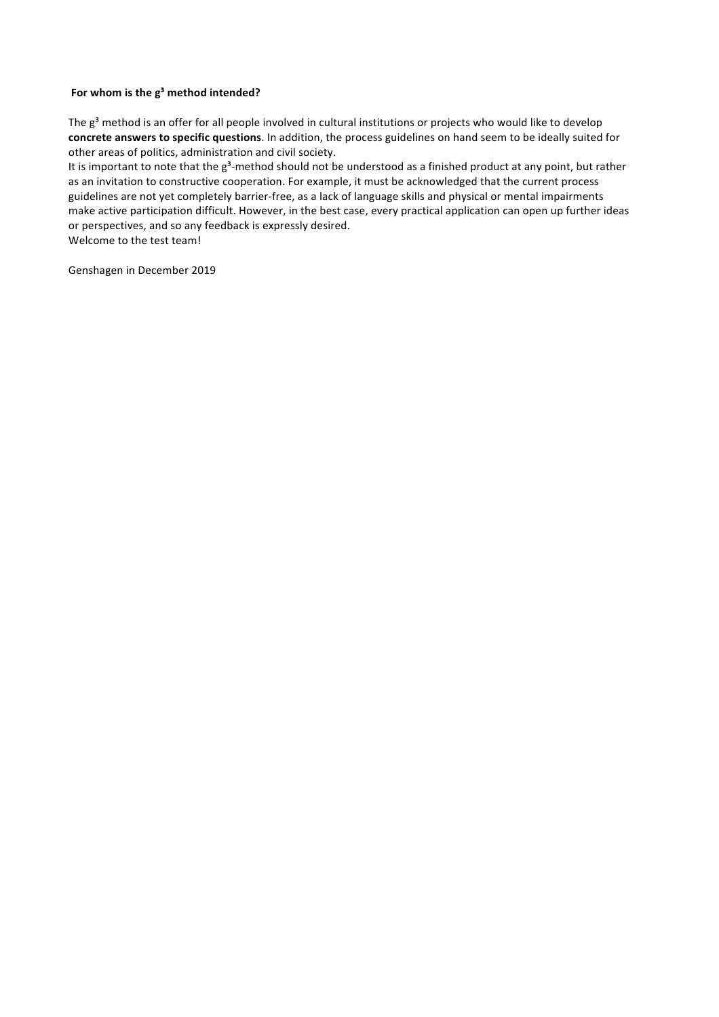## For whom is the  $g^3$  method intended?

The  $g^3$  method is an offer for all people involved in cultural institutions or projects who would like to develop concrete answers to specific questions. In addition, the process guidelines on hand seem to be ideally suited for other areas of politics, administration and civil society.

It is important to note that the g<sup>3</sup>-method should not be understood as a finished product at any point, but rather as an invitation to constructive cooperation. For example, it must be acknowledged that the current process guidelines are not yet completely barrier-free, as a lack of language skills and physical or mental impairments make active participation difficult. However, in the best case, every practical application can open up further ideas or perspectives, and so any feedback is expressly desired. Welcome to the test team!

Genshagen in December 2019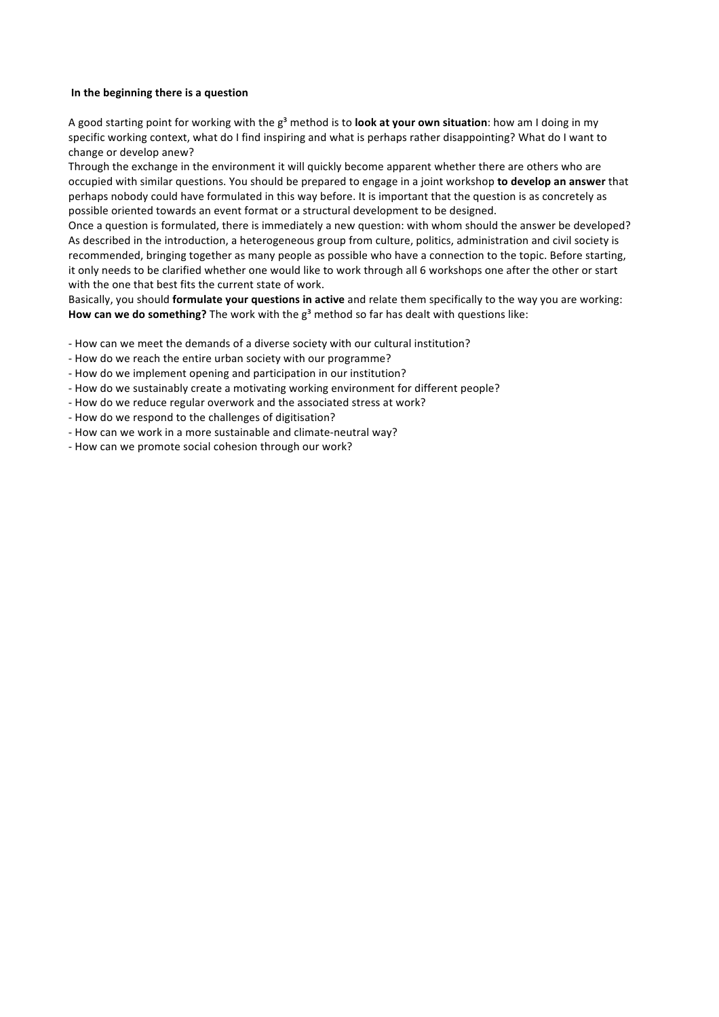#### In the beginning there is a question

A good starting point for working with the g<sup>3</sup> method is to **look at your own situation**: how am I doing in my specific working context, what do I find inspiring and what is perhaps rather disappointing? What do I want to change or develop anew?

Through the exchange in the environment it will quickly become apparent whether there are others who are occupied with similar questions. You should be prepared to engage in a joint workshop to develop an answer that perhaps nobody could have formulated in this way before. It is important that the question is as concretely as possible oriented towards an event format or a structural development to be designed.

Once a question is formulated, there is immediately a new question: with whom should the answer be developed? As described in the introduction, a heterogeneous group from culture, politics, administration and civil society is recommended, bringing together as many people as possible who have a connection to the topic. Before starting, it only needs to be clarified whether one would like to work through all 6 workshops one after the other or start with the one that best fits the current state of work.

Basically, you should **formulate your questions in active** and relate them specifically to the way you are working: How can we do something? The work with the  $g<sup>3</sup>$  method so far has dealt with questions like:

- How can we meet the demands of a diverse society with our cultural institution?
- How do we reach the entire urban society with our programme?
- How do we implement opening and participation in our institution?
- How do we sustainably create a motivating working environment for different people?
- How do we reduce regular overwork and the associated stress at work?
- How do we respond to the challenges of digitisation?
- How can we work in a more sustainable and climate-neutral way?
- How can we promote social cohesion through our work?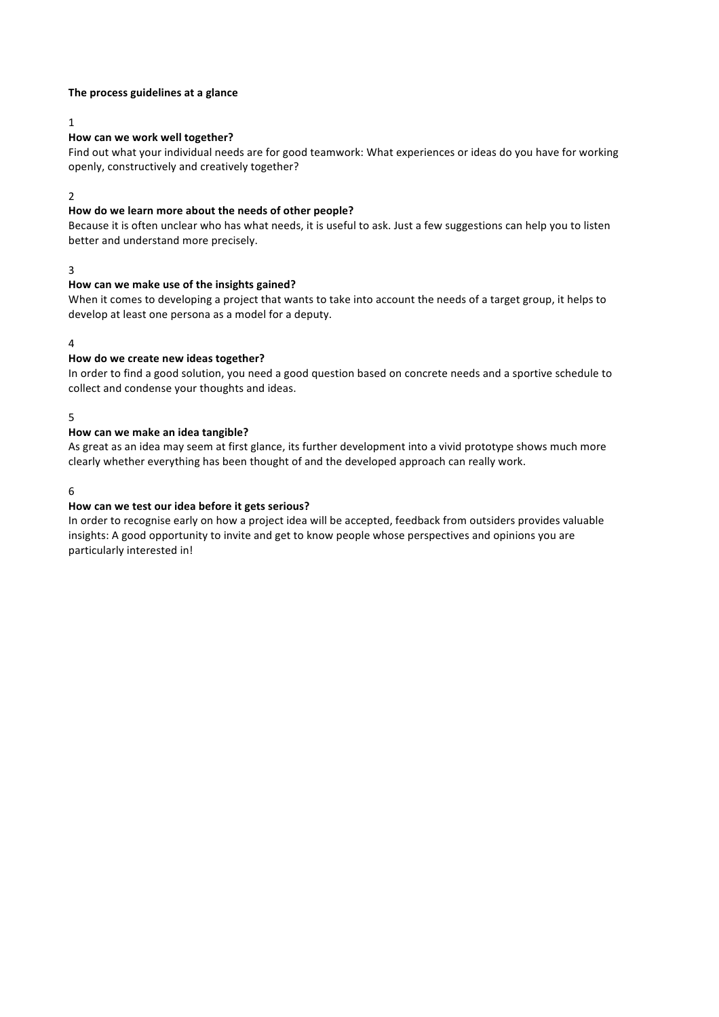#### The process guidelines at a glance

1

## **How can we work well together?**

Find out what your individual needs are for good teamwork: What experiences or ideas do you have for working openly, constructively and creatively together?

2

## How do we learn more about the needs of other people?

Because it is often unclear who has what needs, it is useful to ask. Just a few suggestions can help you to listen better and understand more precisely.

3

#### How can we make use of the insights gained?

When it comes to developing a project that wants to take into account the needs of a target group, it helps to develop at least one persona as a model for a deputy.

#### 4

#### How do we create new ideas together?

In order to find a good solution, you need a good question based on concrete needs and a sportive schedule to collect and condense your thoughts and ideas.

5

#### How can we make an idea tangible?

As great as an idea may seem at first glance, its further development into a vivid prototype shows much more clearly whether everything has been thought of and the developed approach can really work.

#### 6

#### How can we test our idea before it gets serious?

In order to recognise early on how a project idea will be accepted, feedback from outsiders provides valuable insights: A good opportunity to invite and get to know people whose perspectives and opinions you are particularly interested in!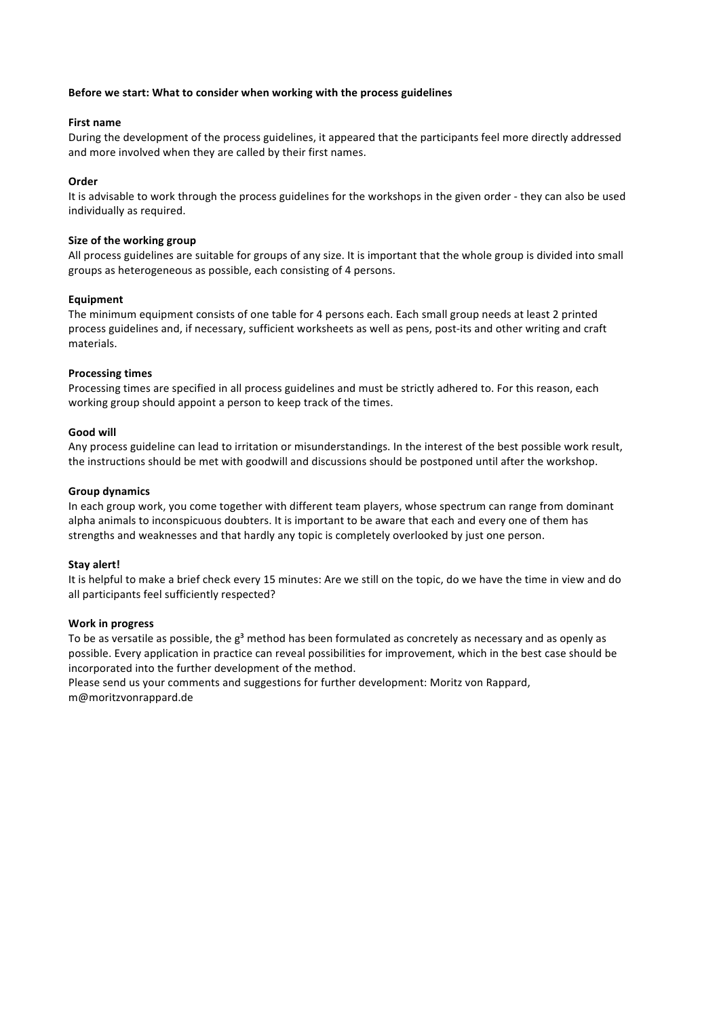#### Before we start: What to consider when working with the process guidelines

#### **First name**

During the development of the process guidelines, it appeared that the participants feel more directly addressed and more involved when they are called by their first names.

#### **Order**

It is advisable to work through the process guidelines for the workshops in the given order - they can also be used individually as required.

#### **Size of the working group**

All process guidelines are suitable for groups of any size. It is important that the whole group is divided into small groups as heterogeneous as possible, each consisting of 4 persons.

#### **Equipment**

The minimum equipment consists of one table for 4 persons each. Each small group needs at least 2 printed process guidelines and, if necessary, sufficient worksheets as well as pens, post-its and other writing and craft materials.

#### **Processing times**

Processing times are specified in all process guidelines and must be strictly adhered to. For this reason, each working group should appoint a person to keep track of the times.

#### **Good will**

Any process guideline can lead to irritation or misunderstandings. In the interest of the best possible work result, the instructions should be met with goodwill and discussions should be postponed until after the workshop.

#### **Group dynamics**

In each group work, you come together with different team players, whose spectrum can range from dominant alpha animals to inconspicuous doubters. It is important to be aware that each and every one of them has strengths and weaknesses and that hardly any topic is completely overlooked by just one person.

#### **Stay alert!**

It is helpful to make a brief check every 15 minutes: Are we still on the topic, do we have the time in view and do all participants feel sufficiently respected?

#### **Work in progress**

To be as versatile as possible, the  $g^3$  method has been formulated as concretely as necessary and as openly as possible. Every application in practice can reveal possibilities for improvement, which in the best case should be incorporated into the further development of the method.

Please send us your comments and suggestions for further development: Moritz von Rappard, m@moritzvonrappard.de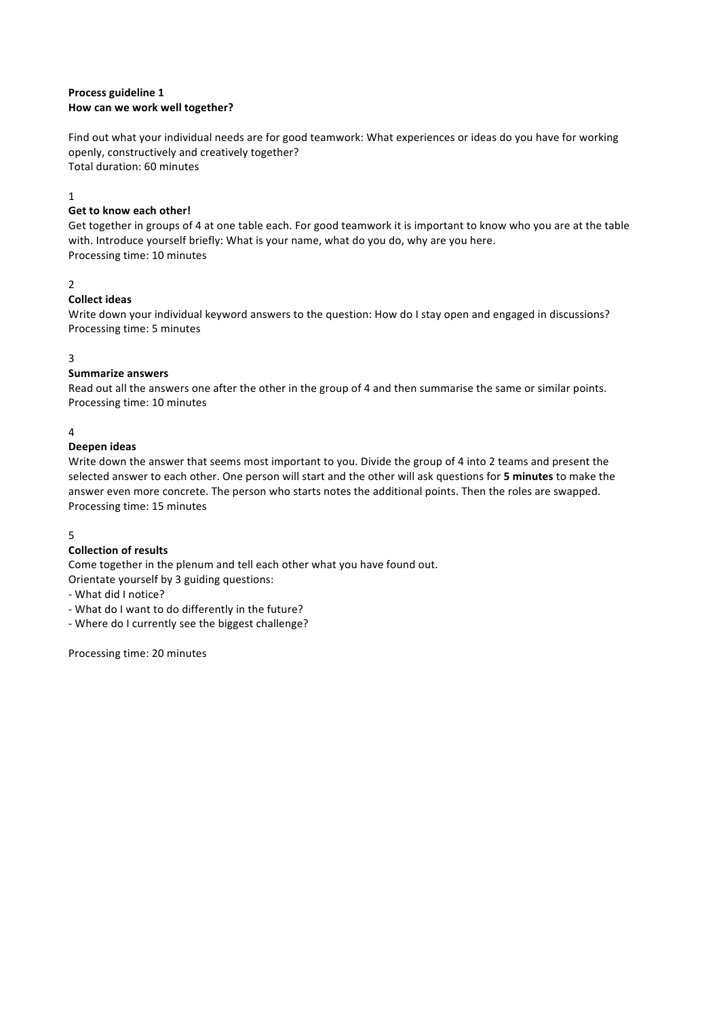## **Process guideline 1 How can we work well together?**

Find out what your individual needs are for good teamwork: What experiences or ideas do you have for working openly, constructively and creatively together? Total duration: 60 minutes

## 1

# **Get to know each other!**

Get together in groups of 4 at one table each. For good teamwork it is important to know who you are at the table with. Introduce yourself briefly: What is your name, what do you do, why are you here. Processing time: 10 minutes

# 2

# **Collect ideas**

Write down your individual keyword answers to the question: How do I stay open and engaged in discussions? Processing time: 5 minutes

## 3

## **Summarize answers**

Read out all the answers one after the other in the group of 4 and then summarise the same or similar points. Processing time: 10 minutes

## 4

## **Deepen ideas**

Write down the answer that seems most important to you. Divide the group of 4 into 2 teams and present the selected answer to each other. One person will start and the other will ask questions for 5 minutes to make the answer even more concrete. The person who starts notes the additional points. Then the roles are swapped. Processing time: 15 minutes

#### 5

# **Collection of results**

Come together in the plenum and tell each other what you have found out. Orientate yourself by 3 guiding questions:

- What did I notice?
- What do I want to do differently in the future?
- Where do I currently see the biggest challenge?

Processing time: 20 minutes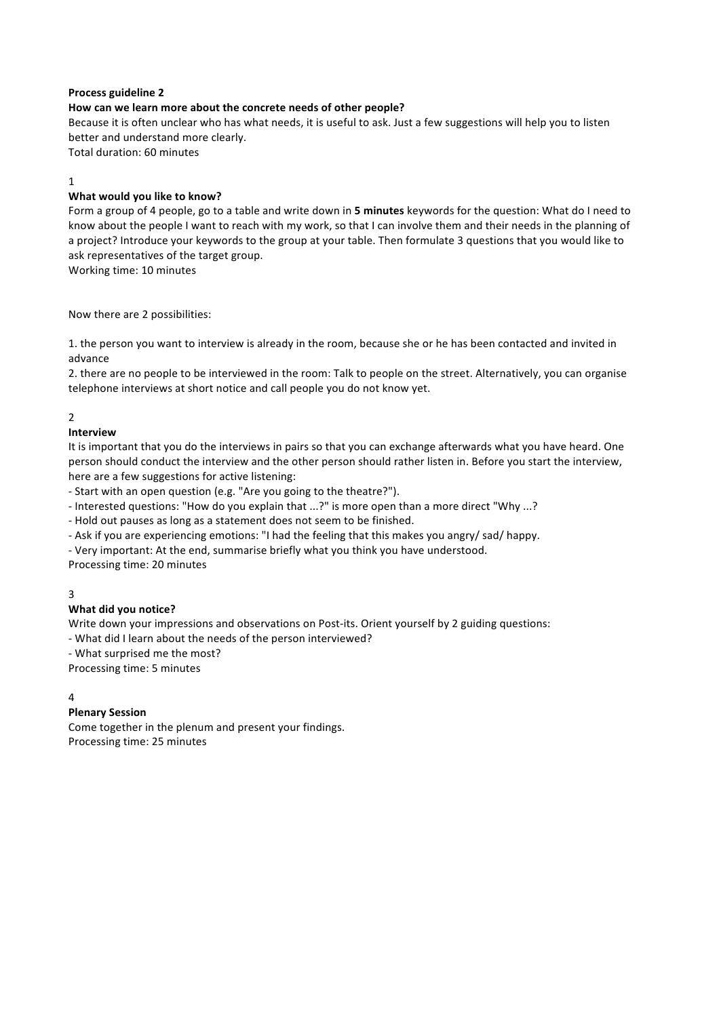## How can we learn more about the concrete needs of other people?

Because it is often unclear who has what needs, it is useful to ask. Just a few suggestions will help you to listen better and understand more clearly.

Total duration: 60 minutes

## 1

## **What would you like to know?**

Form a group of 4 people, go to a table and write down in 5 minutes keywords for the question: What do I need to know about the people I want to reach with my work, so that I can involve them and their needs in the planning of a project? Introduce your keywords to the group at your table. Then formulate 3 questions that you would like to ask representatives of the target group.

Working time: 10 minutes

Now there are 2 possibilities:

1. the person you want to interview is already in the room, because she or he has been contacted and invited in advance

2. there are no people to be interviewed in the room: Talk to people on the street. Alternatively, you can organise telephone interviews at short notice and call people you do not know yet.

# 2

## **Interview**

It is important that you do the interviews in pairs so that you can exchange afterwards what you have heard. One person should conduct the interview and the other person should rather listen in. Before you start the interview, here are a few suggestions for active listening:

- Start with an open question (e.g. "Are you going to the theatre?").

- Interested questions: "How do you explain that ...?" is more open than a more direct "Why ...?
- Hold out pauses as long as a statement does not seem to be finished.
- Ask if you are experiencing emotions: "I had the feeling that this makes you angry/ sad/ happy.

- Very important: At the end, summarise briefly what you think you have understood.

Processing time: 20 minutes

## 3

## **What did you notice?**

Write down your impressions and observations on Post-its. Orient yourself by 2 guiding questions:

- What did I learn about the needs of the person interviewed?

- What surprised me the most?

Processing time: 5 minutes

#### 4

## **Plenary Session**

Come together in the plenum and present your findings. Processing time: 25 minutes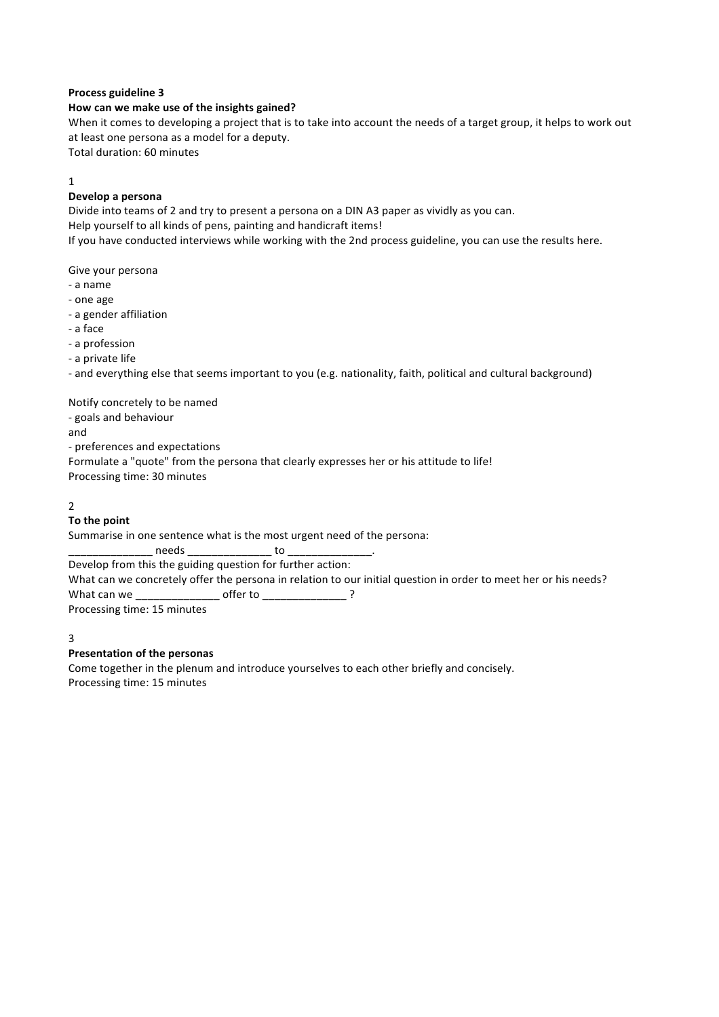## How can we make use of the insights gained?

When it comes to developing a project that is to take into account the needs of a target group, it helps to work out at least one persona as a model for a deputy.

Total duration: 60 minutes

## 1

## **Develop a persona**

Divide into teams of 2 and try to present a persona on a DIN A3 paper as vividly as you can. Help yourself to all kinds of pens, painting and handicraft items! If you have conducted interviews while working with the 2nd process guideline, you can use the results here.

Give your persona

- - a name
- one age
- a gender affiliation
- - a face
- a profession
- a private life

- and everything else that seems important to you (e.g. nationality, faith, political and cultural background)

Notify concretely to be named

- goals and behaviour

and

- preferences and expectations

Formulate a "quote" from the persona that clearly expresses her or his attitude to life!

Processing time: 30 minutes

# $\overline{2}$

## **To the point**

Summarise in one sentence what is the most urgent need of the persona:

 $\Box$  needs  $\Box$  to  $\Box$ Develop from this the guiding question for further action:

What can we concretely offer the persona in relation to our initial question in order to meet her or his needs?

What can we  $\qquad \qquad \qquad$  offer to  $\qquad \qquad$  ?

Processing time: 15 minutes

## 3

## **Presentation of the personas**

Come together in the plenum and introduce yourselves to each other briefly and concisely. Processing time: 15 minutes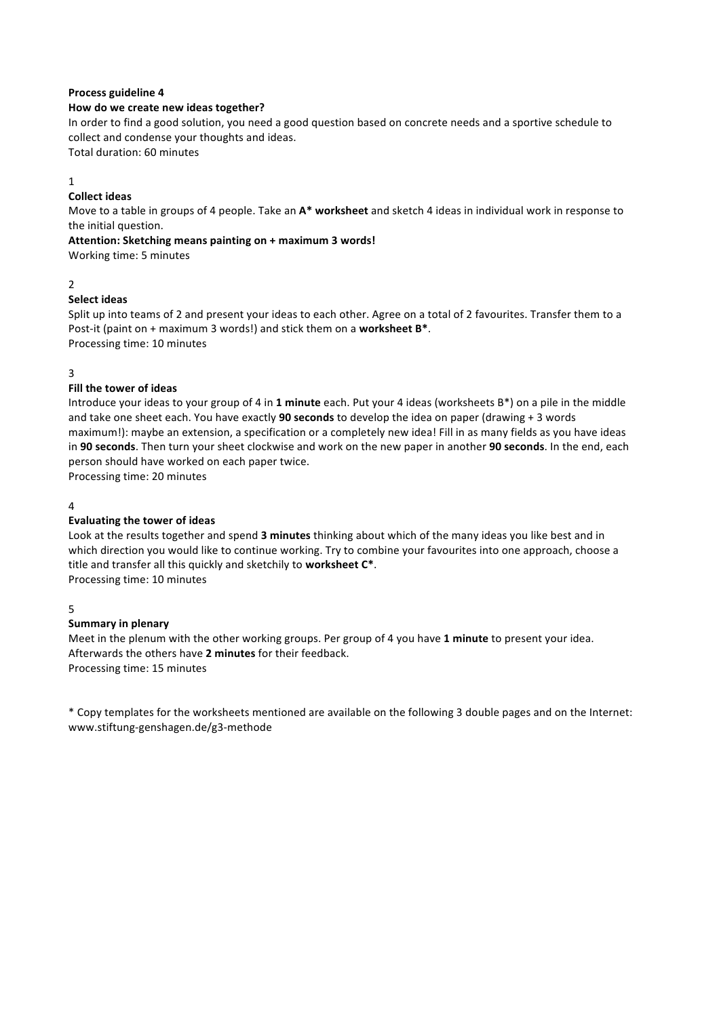#### How do we create new ideas together?

In order to find a good solution, you need a good question based on concrete needs and a sportive schedule to collect and condense your thoughts and ideas.

Total duration: 60 minutes

#### 1

#### **Collect ideas**

Move to a table in groups of 4 people. Take an  $A^*$  worksheet and sketch 4 ideas in individual work in response to the initial question.

#### Attention: Sketching means painting on + maximum 3 words!

Working time: 5 minutes

#### 2

#### **Select ideas**

Split up into teams of 2 and present your ideas to each other. Agree on a total of 2 favourites. Transfer them to a Post-it (paint on + maximum 3 words!) and stick them on a worksheet B<sup>\*</sup>. Processing time: 10 minutes

#### 3

#### **Fill the tower of ideas**

Introduce your ideas to your group of 4 in 1 minute each. Put your 4 ideas (worksheets B\*) on a pile in the middle and take one sheet each. You have exactly **90 seconds** to develop the idea on paper (drawing + 3 words maximum!): maybe an extension, a specification or a completely new idea! Fill in as many fields as you have ideas in 90 seconds. Then turn your sheet clockwise and work on the new paper in another 90 seconds. In the end, each person should have worked on each paper twice.

Processing time: 20 minutes

#### $\Delta$

#### **Evaluating the tower of ideas**

Look at the results together and spend 3 minutes thinking about which of the many ideas you like best and in which direction you would like to continue working. Try to combine your favourites into one approach, choose a title and transfer all this quickly and sketchily to **worksheet C\***. Processing time: 10 minutes

#### 5

#### **Summary in plenary**

Meet in the plenum with the other working groups. Per group of 4 you have 1 minute to present your idea. Afterwards the others have 2 minutes for their feedback. Processing time: 15 minutes

\* Copy templates for the worksheets mentioned are available on the following 3 double pages and on the Internet: www.stiftung-genshagen.de/g3-methode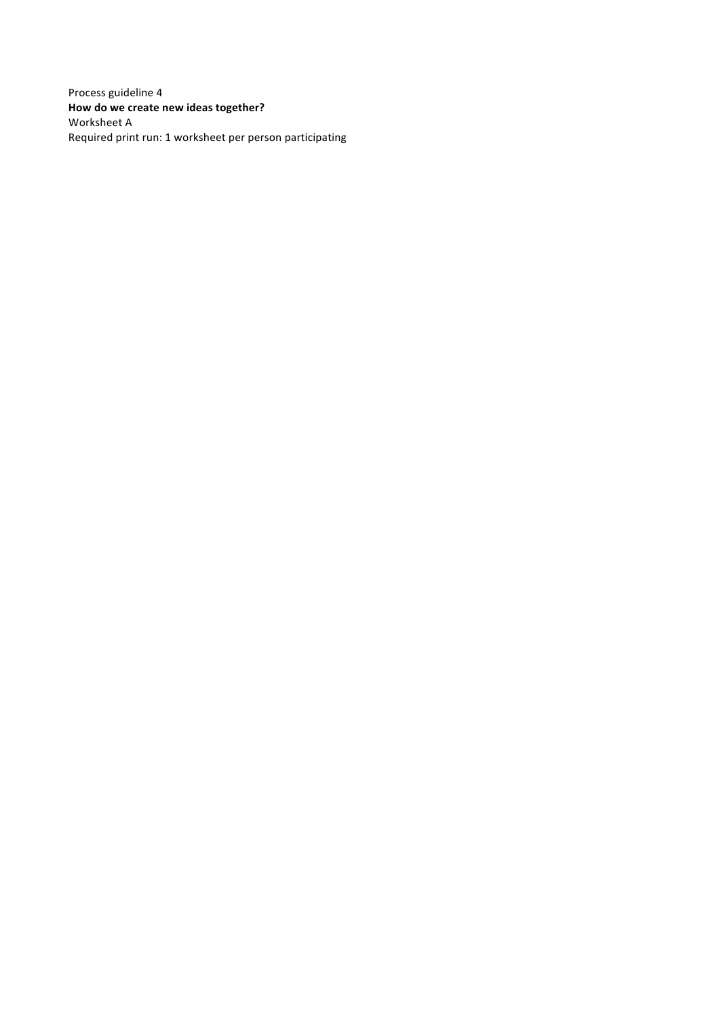Process guideline 4 How do we create new ideas together? Worksheet A Required print run: 1 worksheet per person participating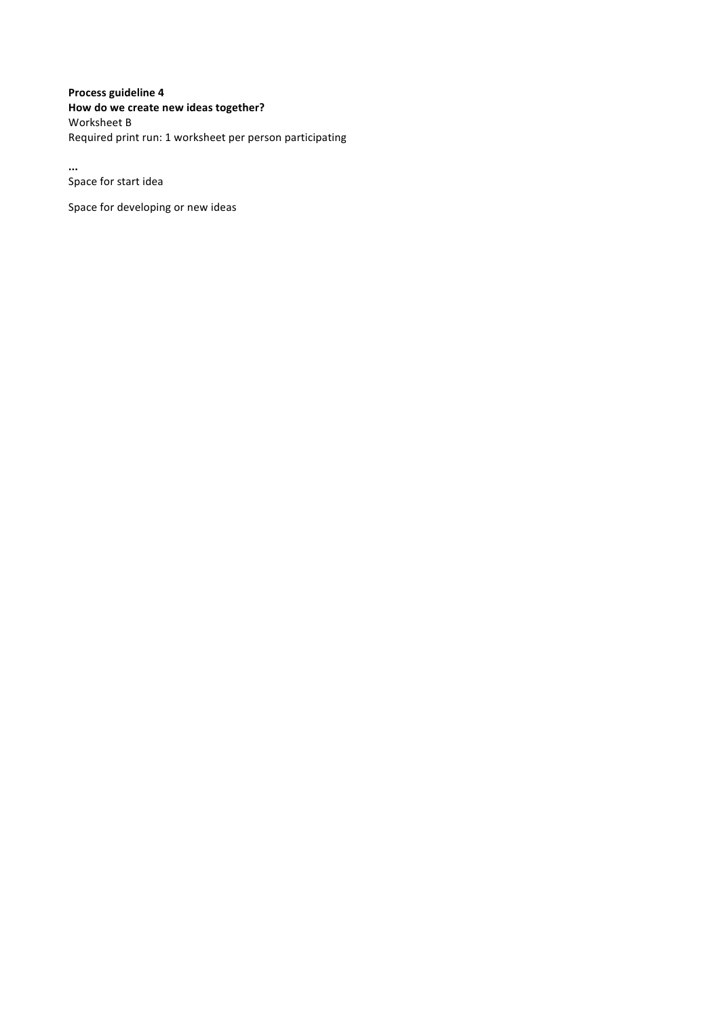# **Process guideline 4 How do we create new ideas together?**

Worksheet **B** Required print run: 1 worksheet per person participating

**...** Space for start idea

Space for developing or new ideas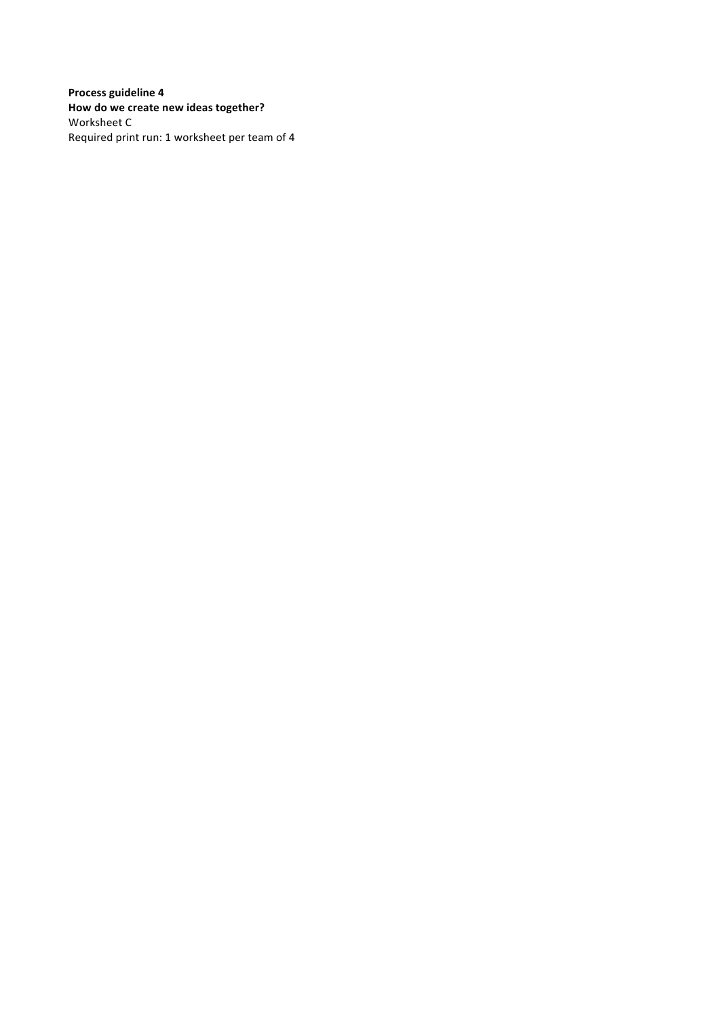**Process guideline 4 How do we create new ideas together?** Worksheet C Required print run: 1 worksheet per team of 4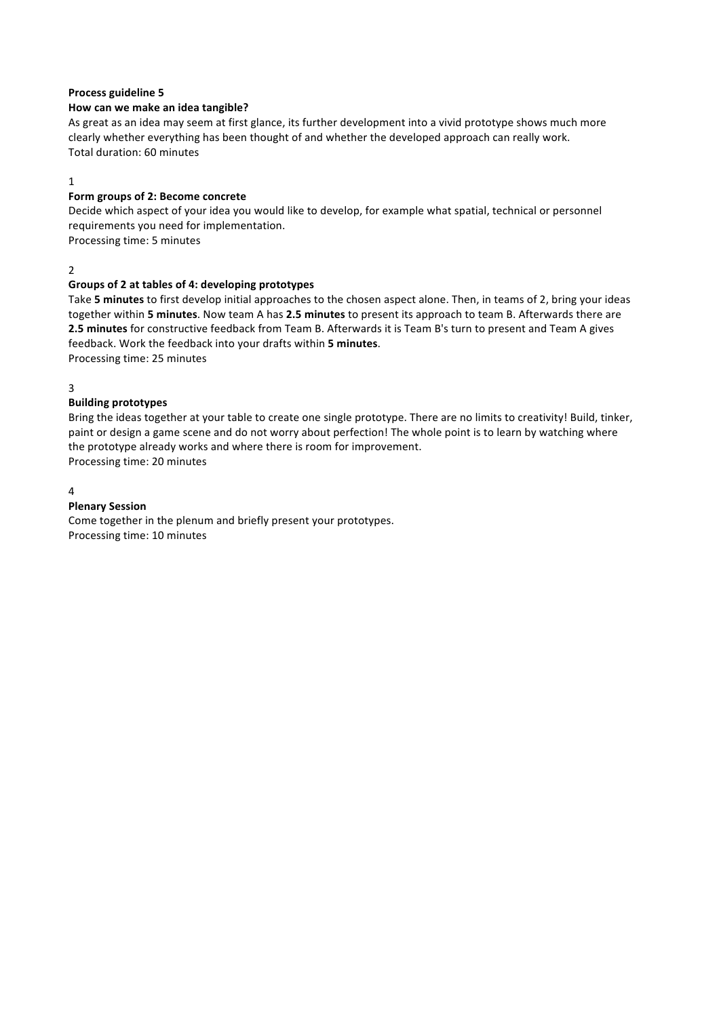#### How can we make an idea tangible?

As great as an idea may seem at first glance, its further development into a vivid prototype shows much more clearly whether everything has been thought of and whether the developed approach can really work. Total duration: 60 minutes

#### 1

#### Form groups of 2: Become concrete

Decide which aspect of your idea you would like to develop, for example what spatial, technical or personnel requirements you need for implementation.

Processing time: 5 minutes

2

#### Groups of 2 at tables of 4: developing prototypes

Take 5 minutes to first develop initial approaches to the chosen aspect alone. Then, in teams of 2, bring your ideas together within 5 minutes. Now team A has 2.5 minutes to present its approach to team B. Afterwards there are **2.5 minutes** for constructive feedback from Team B. Afterwards it is Team B's turn to present and Team A gives feedback. Work the feedback into your drafts within 5 minutes. Processing time: 25 minutes

3

## **Building prototypes**

Bring the ideas together at your table to create one single prototype. There are no limits to creativity! Build, tinker, paint or design a game scene and do not worry about perfection! The whole point is to learn by watching where the prototype already works and where there is room for improvement. Processing time: 20 minutes

4

## **Plenary Session**

Come together in the plenum and briefly present your prototypes. Processing time: 10 minutes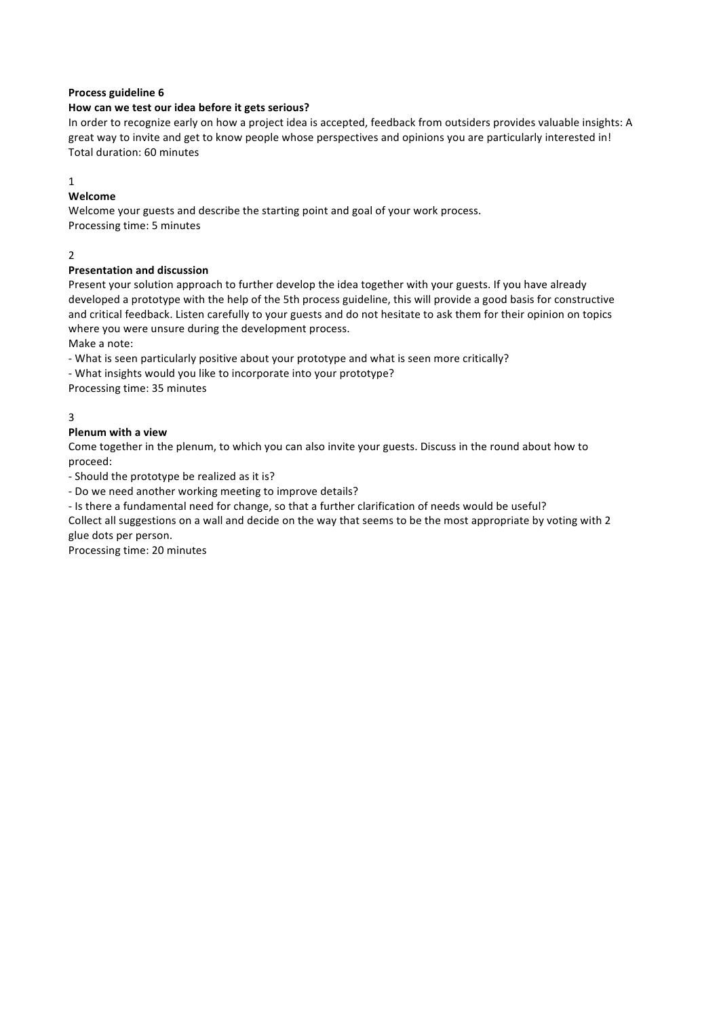## How can we test our idea before it gets serious?

In order to recognize early on how a project idea is accepted, feedback from outsiders provides valuable insights: A great way to invite and get to know people whose perspectives and opinions you are particularly interested in! Total duration: 60 minutes

#### 1

## **Welcome**

Welcome your guests and describe the starting point and goal of your work process. Processing time: 5 minutes

## 2

## **Presentation and discussion**

Present your solution approach to further develop the idea together with your guests. If you have already developed a prototype with the help of the 5th process guideline, this will provide a good basis for constructive and critical feedback. Listen carefully to your guests and do not hesitate to ask them for their opinion on topics where you were unsure during the development process.

Make a note:

- What is seen particularly positive about your prototype and what is seen more critically?

- What insights would you like to incorporate into your prototype?

Processing time: 35 minutes

## 3

## **Plenum with a view**

Come together in the plenum, to which you can also invite your guests. Discuss in the round about how to proceed:

- Should the prototype be realized as it is?

- Do we need another working meeting to improve details?

- Is there a fundamental need for change, so that a further clarification of needs would be useful?

Collect all suggestions on a wall and decide on the way that seems to be the most appropriate by voting with 2 glue dots per person.

Processing time: 20 minutes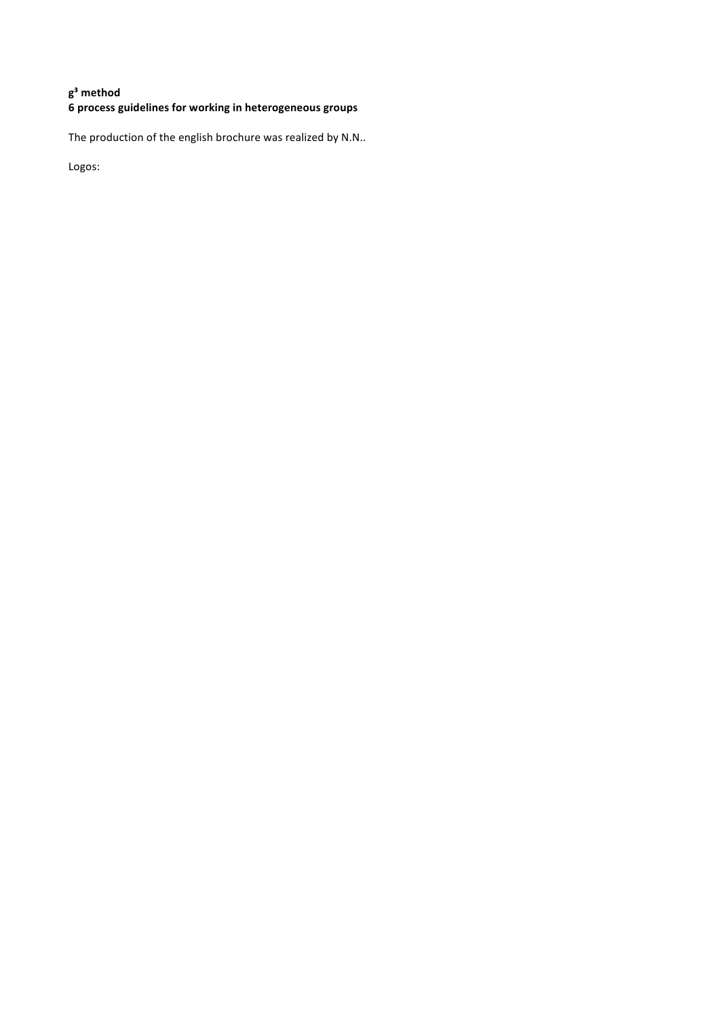# **g³ method**  $\frac{6}{10}$  process guidelines for working in heterogeneous groups

The production of the english brochure was realized by N.N..

Logos: